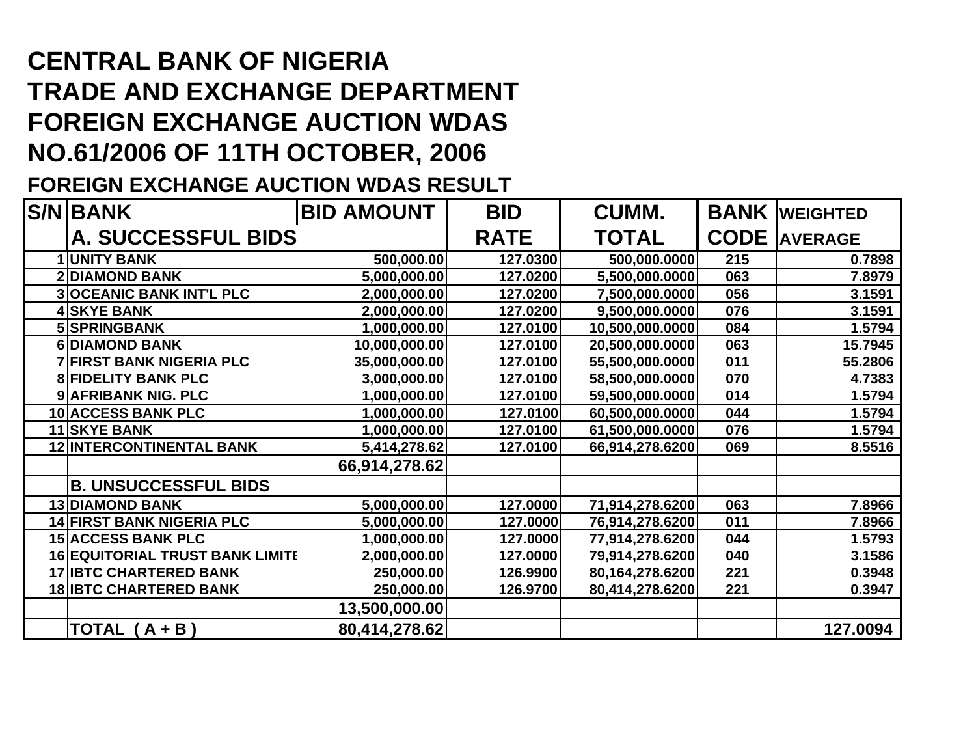## **CENTRAL BANK OF NIGERIA TRADE AND EXCHANGE DEPARTMENT FOREIGN EXCHANGE AUCTION WDAS NO.61/2006 OF 11TH OCTOBER, 2006**

## **FOREIGN EXCHANGE AUCTION WDAS RESULT**

| <b>S/N BANK</b>                        | <b>BID AMOUNT</b> | <b>BID</b>   | <b>CUMM.</b>    |                     | <b>BANK WEIGHTED</b> |
|----------------------------------------|-------------------|--------------|-----------------|---------------------|----------------------|
| <b>A. SUCCESSFUL BIDS</b>              | <b>RATE</b>       | <b>TOTAL</b> |                 | <b>CODE</b> AVERAGE |                      |
| <b>1 UNITY BANK</b>                    | 500,000.00        | 127.0300     | 500,000.0000    | 215                 | 0.7898               |
| <b>2 DIAMOND BANK</b>                  | 5,000,000.00      | 127.0200     | 5,500,000.0000  | 063                 | 7.8979               |
| <b>3OCEANIC BANK INT'L PLC</b>         | 2,000,000.00      | 127.0200     | 7,500,000.0000  | 056                 | 3.1591               |
| <b>4 SKYE BANK</b>                     | 2,000,000.00      | 127.0200     | 9,500,000.0000  | 076                 | 3.1591               |
| 5 SPRINGBANK                           | 1,000,000.00      | 127.0100     | 10,500,000.0000 | 084                 | 1.5794               |
| 6 DIAMOND BANK                         | 10,000,000.00     | 127.0100     | 20,500,000.0000 | 063                 | 15.7945              |
| <b>7 FIRST BANK NIGERIA PLC</b>        | 35,000,000.00     | 127.0100     | 55,500,000.0000 | 011                 | 55.2806              |
| <b>8 FIDELITY BANK PLC</b>             | 3,000,000.00      | 127.0100     | 58,500,000.0000 | 070                 | 4.7383               |
| 9 AFRIBANK NIG. PLC                    | 1,000,000.00      | 127.0100     | 59,500,000.0000 | 014                 | 1.5794               |
| 10 ACCESS BANK PLC                     | 1,000,000.00      | 127.0100     | 60,500,000.0000 | 044                 | 1.5794               |
| <b>11 SKYE BANK</b>                    | 1,000,000.00      | 127.0100     | 61,500,000.0000 | 076                 | 1.5794               |
| <b>12 INTERCONTINENTAL BANK</b>        | 5,414,278.62      | 127.0100     | 66,914,278.6200 | 069                 | 8.5516               |
|                                        | 66,914,278.62     |              |                 |                     |                      |
| <b>B. UNSUCCESSFUL BIDS</b>            |                   |              |                 |                     |                      |
| <b>13 DIAMOND BANK</b>                 | 5,000,000.00      | 127.0000     | 71,914,278.6200 | 063                 | 7.8966               |
| <b>14 FIRST BANK NIGERIA PLC</b>       | 5,000,000.00      | 127.0000     | 76,914,278.6200 | 011                 | 7.8966               |
| <b>15 ACCESS BANK PLC</b>              | 1,000,000.00      | 127.0000     | 77,914,278.6200 | 044                 | 1.5793               |
| <b>16 EQUITORIAL TRUST BANK LIMITE</b> | 2,000,000.00      | 127.0000     | 79,914,278.6200 | 040                 | 3.1586               |
| <b>17 IBTC CHARTERED BANK</b>          | 250,000.00        | 126.9900     | 80,164,278.6200 | 221                 | 0.3948               |
| <b>18 IBTC CHARTERED BANK</b>          | 250,000.00        | 126.9700     | 80,414,278.6200 | 221                 | 0.3947               |
|                                        | 13,500,000.00     |              |                 |                     |                      |
| TOTAL $(A + B)$                        | 80,414,278.62     |              |                 |                     | 127.0094             |